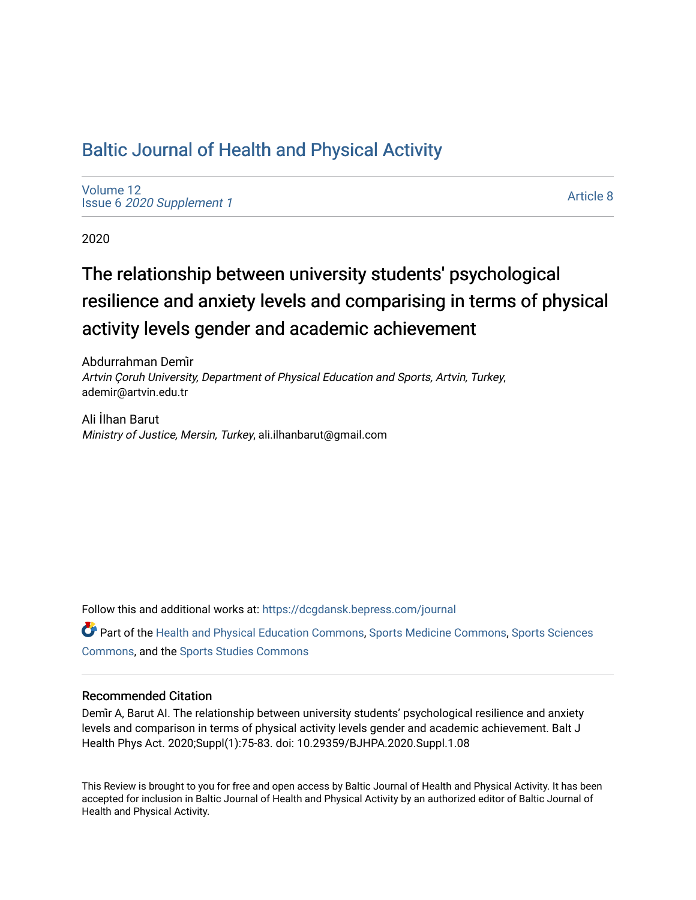# [Baltic Journal of Health and Physical Activity](https://dcgdansk.bepress.com/journal)

[Volume 12](https://dcgdansk.bepress.com/journal/vol12) Issue 6 [2020 Supplement 1](https://dcgdansk.bepress.com/journal/vol12/iss6) 

[Article 8](https://dcgdansk.bepress.com/journal/vol12/iss6/8) 

2020

# The relationship between university students' psychological resilience and anxiety levels and comparising in terms of physical activity levels gender and academic achievement

Abdurrahman Demi̇r Artvin Çoruh University, Department of Physical Education and Sports, Artvin, Turkey, ademir@artvin.edu.tr

Ali İlhan Barut Ministry of Justice, Mersin, Turkey, ali.ilhanbarut@gmail.com

Follow this and additional works at: [https://dcgdansk.bepress.com/journal](https://dcgdansk.bepress.com/journal?utm_source=dcgdansk.bepress.com%2Fjournal%2Fvol12%2Fiss6%2F8&utm_medium=PDF&utm_campaign=PDFCoverPages)

Part of the [Health and Physical Education Commons](http://network.bepress.com/hgg/discipline/1327?utm_source=dcgdansk.bepress.com%2Fjournal%2Fvol12%2Fiss6%2F8&utm_medium=PDF&utm_campaign=PDFCoverPages), [Sports Medicine Commons,](http://network.bepress.com/hgg/discipline/1331?utm_source=dcgdansk.bepress.com%2Fjournal%2Fvol12%2Fiss6%2F8&utm_medium=PDF&utm_campaign=PDFCoverPages) [Sports Sciences](http://network.bepress.com/hgg/discipline/759?utm_source=dcgdansk.bepress.com%2Fjournal%2Fvol12%2Fiss6%2F8&utm_medium=PDF&utm_campaign=PDFCoverPages) [Commons](http://network.bepress.com/hgg/discipline/759?utm_source=dcgdansk.bepress.com%2Fjournal%2Fvol12%2Fiss6%2F8&utm_medium=PDF&utm_campaign=PDFCoverPages), and the [Sports Studies Commons](http://network.bepress.com/hgg/discipline/1198?utm_source=dcgdansk.bepress.com%2Fjournal%2Fvol12%2Fiss6%2F8&utm_medium=PDF&utm_campaign=PDFCoverPages) 

#### Recommended Citation

Demi̇r A, Barut AI. The relationship between university students' psychological resilience and anxiety levels and comparison in terms of physical activity levels gender and academic achievement. Balt J Health Phys Act. 2020;Suppl(1):75-83. doi: 10.29359/BJHPA.2020.Suppl.1.08

This Review is brought to you for free and open access by Baltic Journal of Health and Physical Activity. It has been accepted for inclusion in Baltic Journal of Health and Physical Activity by an authorized editor of Baltic Journal of Health and Physical Activity.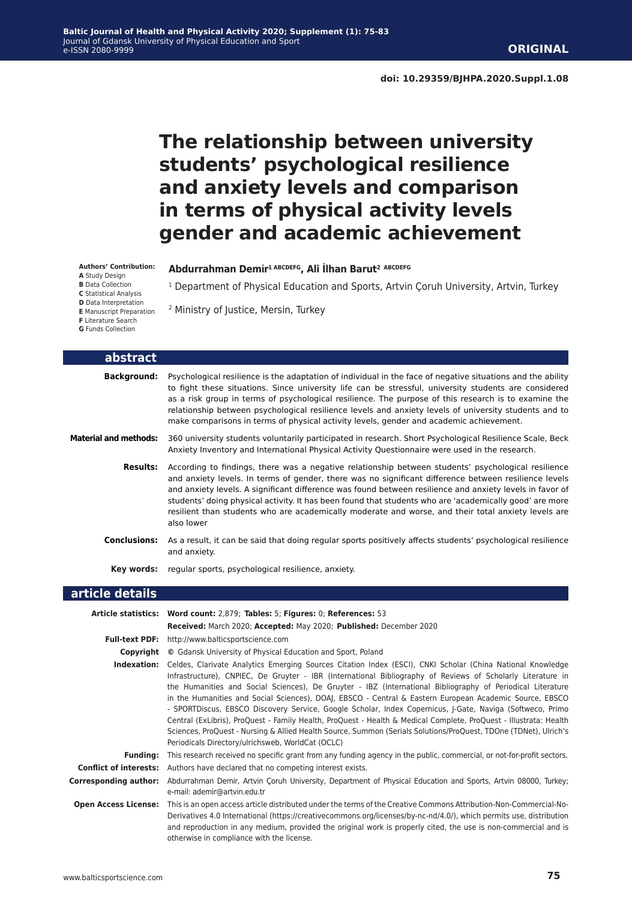# **The relationship between university students' psychological resilience and anxiety levels and comparison in terms of physical activity levels gender and academic achievement**

<sup>1</sup> Department of Physical Education and Sports, Artvin Çoruh University, Artvin, Turkey

**Abdurrahman Demi̇r1 ABCDEFG, Ali İlhan Barut2 ABCDEFG**

2 Ministry of Justice, Mersin, Turkey

**Authors' Contribution:**

- **A** Study Design
- **B** Data Collection **C** Statistical Analysis
- **D** Data Interpretation

**E** Manuscript Preparation

- **F** Literature Search
- **G** Funds Collection

| abstract                     |                                                                                                                                                                                                                                                                                                                                                                                                                                                                                                                                                          |
|------------------------------|----------------------------------------------------------------------------------------------------------------------------------------------------------------------------------------------------------------------------------------------------------------------------------------------------------------------------------------------------------------------------------------------------------------------------------------------------------------------------------------------------------------------------------------------------------|
| <b>Background:</b>           | Psychological resilience is the adaptation of individual in the face of negative situations and the ability<br>to fight these situations. Since university life can be stressful, university students are considered<br>as a risk group in terms of psychological resilience. The purpose of this research is to examine the<br>relationship between psychological resilience levels and anxiety levels of university students and to<br>make comparisons in terms of physical activity levels, gender and academic achievement.                         |
| <b>Material and methods:</b> | 360 university students voluntarily participated in research. Short Psychological Resilience Scale, Beck<br>Anxiety Inventory and International Physical Activity Questionnaire were used in the research.                                                                                                                                                                                                                                                                                                                                               |
| Results:                     | According to findings, there was a negative relationship between students' psychological resilience<br>and anxiety levels. In terms of gender, there was no significant difference between resilience levels<br>and anxiety levels. A significant difference was found between resilience and anxiety levels in favor of<br>students' doing physical activity. It has been found that students who are 'academically good' are more<br>resilient than students who are academically moderate and worse, and their total anxiety levels are<br>also lower |
| <b>Conclusions:</b>          | As a result, it can be said that doing regular sports positively affects students' psychological resilience<br>and anxiety.                                                                                                                                                                                                                                                                                                                                                                                                                              |
| Kev words:                   | regular sports, psychological resilience, anxiety.                                                                                                                                                                                                                                                                                                                                                                                                                                                                                                       |
| article details              |                                                                                                                                                                                                                                                                                                                                                                                                                                                                                                                                                          |

|                              | Article statistics: Word count: 2,879; Tables: 5; Figures: 0; References: 53                                                                                                                                                                                                                                                                                                                                                                                                                                                                                                                                                                                                                                                                                                                                                                                  |
|------------------------------|---------------------------------------------------------------------------------------------------------------------------------------------------------------------------------------------------------------------------------------------------------------------------------------------------------------------------------------------------------------------------------------------------------------------------------------------------------------------------------------------------------------------------------------------------------------------------------------------------------------------------------------------------------------------------------------------------------------------------------------------------------------------------------------------------------------------------------------------------------------|
|                              | Received: March 2020; Accepted: May 2020; Published: December 2020                                                                                                                                                                                                                                                                                                                                                                                                                                                                                                                                                                                                                                                                                                                                                                                            |
|                              | Full-text PDF: http://www.balticsportscience.com                                                                                                                                                                                                                                                                                                                                                                                                                                                                                                                                                                                                                                                                                                                                                                                                              |
| Copyright                    | © Gdansk University of Physical Education and Sport, Poland                                                                                                                                                                                                                                                                                                                                                                                                                                                                                                                                                                                                                                                                                                                                                                                                   |
| Indexation:                  | Celdes, Clarivate Analytics Emerging Sources Citation Index (ESCI), CNKI Scholar (China National Knowledge<br>Infrastructure), CNPIEC, De Gruyter - IBR (International Bibliography of Reviews of Scholarly Literature in<br>the Humanities and Social Sciences), De Gruyter - IBZ (International Bibliography of Periodical Literature<br>in the Humanities and Social Sciences), DOAJ, EBSCO - Central & Eastern European Academic Source, EBSCO<br>- SPORTDiscus, EBSCO Discovery Service, Google Scholar, Index Copernicus, J-Gate, Naviga (Softweco, Primo<br>Central (ExLibris), ProQuest - Family Health, ProQuest - Health & Medical Complete, ProQuest - Illustrata: Health<br>Sciences, ProQuest - Nursing & Allied Health Source, Summon (Serials Solutions/ProQuest, TDOne (TDNet), Ulrich's<br>Periodicals Directory/ulrichsweb, WorldCat (OCLC) |
| <b>Funding:</b>              | This research received no specific grant from any funding agency in the public, commercial, or not-for-profit sectors.                                                                                                                                                                                                                                                                                                                                                                                                                                                                                                                                                                                                                                                                                                                                        |
|                              | <b>Conflict of interests:</b> Authors have declared that no competing interest exists.                                                                                                                                                                                                                                                                                                                                                                                                                                                                                                                                                                                                                                                                                                                                                                        |
| <b>Corresponding author:</b> | Abdurrahman Demir, Artvin Coruh University, Department of Physical Education and Sports, Artvin 08000, Turkey;<br>e-mail: ademir@artvin.edu.tr                                                                                                                                                                                                                                                                                                                                                                                                                                                                                                                                                                                                                                                                                                                |
| <b>Open Access License:</b>  | This is an open access article distributed under the terms of the Creative Commons Attribution-Non-Commercial-No-<br>Derivatives 4.0 International (https://creativecommons.org/licenses/by-nc-nd/4.0/), which permits use, distribution<br>and reproduction in any medium, provided the original work is properly cited, the use is non-commercial and is<br>otherwise in compliance with the license.                                                                                                                                                                                                                                                                                                                                                                                                                                                       |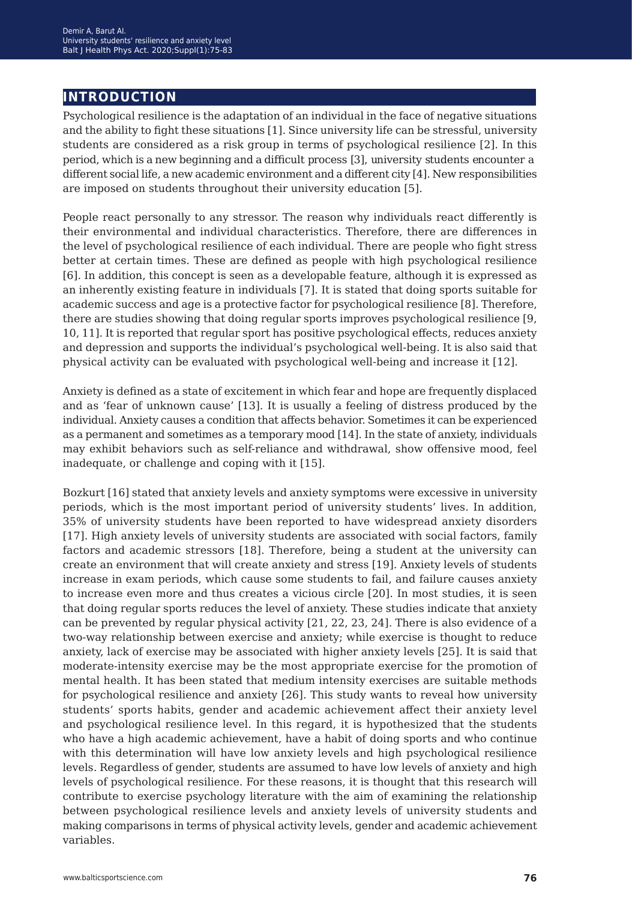# **introduction**

Psychological resilience is the adaptation of an individual in the face of negative situations and the ability to fight these situations [1]. Since university life can be stressful, university students are considered as a risk group in terms of psychological resilience [2]. In this period, which is a new beginning and a difficult process [3], university students encounter a different social life, a new academic environment and a different city [4]. New responsibilities are imposed on students throughout their university education [5].

People react personally to any stressor. The reason why individuals react differently is their environmental and individual characteristics. Therefore, there are differences in the level of psychological resilience of each individual. There are people who fight stress better at certain times. These are defined as people with high psychological resilience [6]. In addition, this concept is seen as a developable feature, although it is expressed as an inherently existing feature in individuals [7]. It is stated that doing sports suitable for academic success and age is a protective factor for psychological resilience [8]. Therefore, there are studies showing that doing regular sports improves psychological resilience [9, 10, 11]. It is reported that regular sport has positive psychological effects, reduces anxiety and depression and supports the individual's psychological well-being. It is also said that physical activity can be evaluated with psychological well-being and increase it [12].

Anxiety is defined as a state of excitement in which fear and hope are frequently displaced and as 'fear of unknown cause' [13]. It is usually a feeling of distress produced by the individual. Anxiety causes a condition that affects behavior. Sometimes it can be experienced as a permanent and sometimes as a temporary mood [14]. In the state of anxiety, individuals may exhibit behaviors such as self-reliance and withdrawal, show offensive mood, feel inadequate, or challenge and coping with it [15].

Bozkurt [16] stated that anxiety levels and anxiety symptoms were excessive in university periods, which is the most important period of university students' lives. In addition, 35% of university students have been reported to have widespread anxiety disorders [17]. High anxiety levels of university students are associated with social factors, family factors and academic stressors [18]. Therefore, being a student at the university can create an environment that will create anxiety and stress [19]. Anxiety levels of students increase in exam periods, which cause some students to fail, and failure causes anxiety to increase even more and thus creates a vicious circle [20]. In most studies, it is seen that doing regular sports reduces the level of anxiety. These studies indicate that anxiety can be prevented by regular physical activity [21, 22, 23, 24]. There is also evidence of a two-way relationship between exercise and anxiety; while exercise is thought to reduce anxiety, lack of exercise may be associated with higher anxiety levels [25]. It is said that moderate-intensity exercise may be the most appropriate exercise for the promotion of mental health. It has been stated that medium intensity exercises are suitable methods for psychological resilience and anxiety [26]. This study wants to reveal how university students' sports habits, gender and academic achievement affect their anxiety level and psychological resilience level. In this regard, it is hypothesized that the students who have a high academic achievement, have a habit of doing sports and who continue with this determination will have low anxiety levels and high psychological resilience levels. Regardless of gender, students are assumed to have low levels of anxiety and high levels of psychological resilience. For these reasons, it is thought that this research will contribute to exercise psychology literature with the aim of examining the relationship between psychological resilience levels and anxiety levels of university students and making comparisons in terms of physical activity levels, gender and academic achievement variables.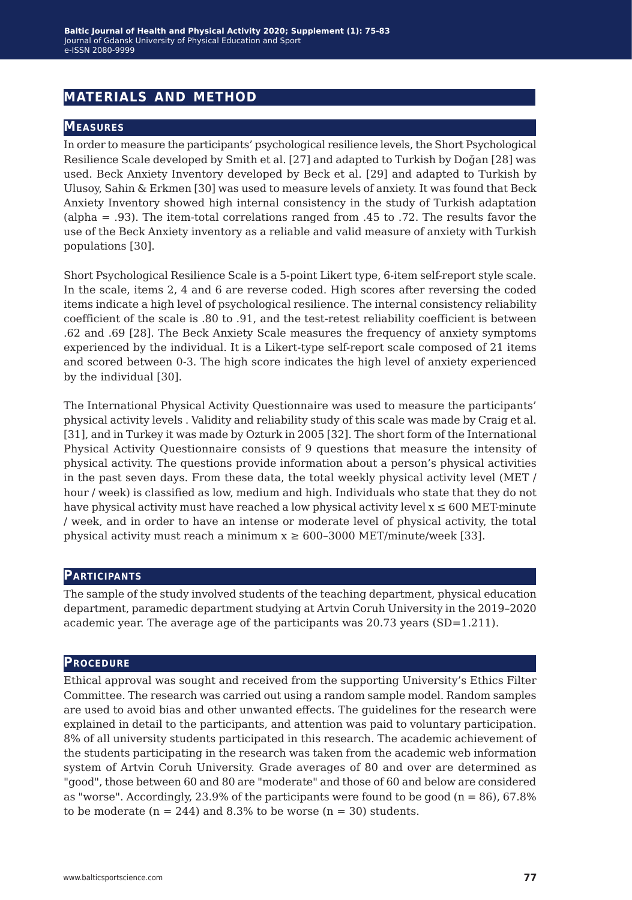# **materials and method**

#### **Measures**

In order to measure the participants' psychological resilience levels, the Short Psychological Resilience Scale developed by Smith et al. [27] and adapted to Turkish by Doğan [28] was used. Beck Anxiety Inventory developed by Beck et al. [29] and adapted to Turkish by Ulusoy, Sahin & Erkmen [30] was used to measure levels of anxiety. It was found that Beck Anxiety Inventory showed high internal consistency in the study of Turkish adaptation (alpha = .93). The item-total correlations ranged from .45 to .72. The results favor the use of the Beck Anxiety inventory as a reliable and valid measure of anxiety with Turkish populations [30].

Short Psychological Resilience Scale is a 5-point Likert type, 6-item self-report style scale. In the scale, items 2, 4 and 6 are reverse coded. High scores after reversing the coded items indicate a high level of psychological resilience. The internal consistency reliability coefficient of the scale is .80 to .91, and the test-retest reliability coefficient is between .62 and .69 [28]. The Beck Anxiety Scale measures the frequency of anxiety symptoms experienced by the individual. It is a Likert-type self-report scale composed of 21 items and scored between 0-3. The high score indicates the high level of anxiety experienced by the individual [30].

The International Physical Activity Questionnaire was used to measure the participants' physical activity levels . Validity and reliability study of this scale was made by Craig et al. [31], and in Turkey it was made by Ozturk in 2005 [32]. The short form of the International Physical Activity Questionnaire consists of 9 questions that measure the intensity of physical activity. The questions provide information about a person's physical activities in the past seven days. From these data, the total weekly physical activity level (MET / hour / week) is classified as low, medium and high. Individuals who state that they do not have physical activity must have reached a low physical activity level  $x \le 600$  MET-minute / week, and in order to have an intense or moderate level of physical activity, the total physical activity must reach a minimum  $x \ge 600-3000$  MET/minute/week [33].

#### **Participants**

The sample of the study involved students of the teaching department, physical education department, paramedic department studying at Artvin Coruh University in the 2019–2020 academic year. The average age of the participants was 20.73 years (SD=1.211).

#### **Procedure**

Ethical approval was sought and received from the supporting University's Ethics Filter Committee. The research was carried out using a random sample model. Random samples are used to avoid bias and other unwanted effects. The guidelines for the research were explained in detail to the participants, and attention was paid to voluntary participation. 8% of all university students participated in this research. The academic achievement of the students participating in the research was taken from the academic web information system of Artvin Coruh University. Grade averages of 80 and over are determined as "good", those between 60 and 80 are "moderate" and those of 60 and below are considered as "worse". Accordingly, 23.9% of the participants were found to be good ( $n = 86$ ), 67.8% to be moderate ( $n = 244$ ) and 8.3% to be worse ( $n = 30$ ) students.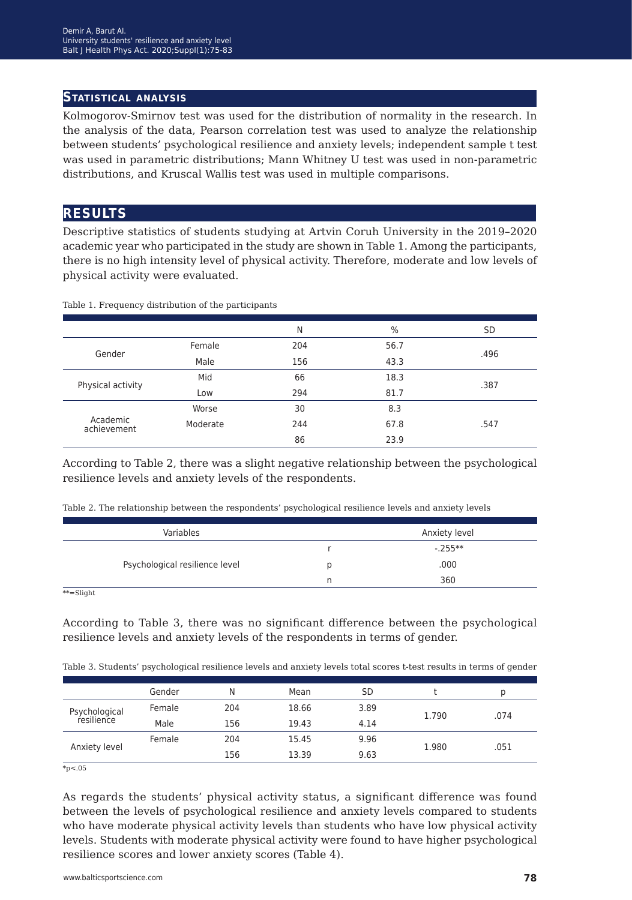#### **Statistical analysis**

Kolmogorov-Smirnov test was used for the distribution of normality in the research. In the analysis of the data, Pearson correlation test was used to analyze the relationship between students' psychological resilience and anxiety levels; independent sample t test was used in parametric distributions; Mann Whitney U test was used in non-parametric distributions, and Kruscal Wallis test was used in multiple comparisons.

### **results**

Descriptive statistics of students studying at Artvin Coruh University in the 2019–2020 academic year who participated in the study are shown in Table 1. Among the participants, there is no high intensity level of physical activity. Therefore, moderate and low levels of physical activity were evaluated.

|                         |          | N   | $\%$ | <b>SD</b> |
|-------------------------|----------|-----|------|-----------|
| Gender                  | Female   | 204 | 56.7 | .496      |
|                         | Male     | 156 | 43.3 |           |
| Physical activity       | Mid      | 66  | 18.3 | .387      |
|                         | Low      | 294 | 81.7 |           |
|                         | Worse    | 30  | 8.3  |           |
| Academic<br>achievement | Moderate | 244 | 67.8 | .547      |
|                         |          | 86  | 23.9 |           |

Table 1. Frequency distribution of the participants

According to Table 2, there was a slight negative relationship between the psychological resilience levels and anxiety levels of the respondents.

|   | Anxiety level |
|---|---------------|
|   | $-0.255**$    |
| D | .000          |
| n | 360           |
|   |               |

\*\*=Slight

According to Table 3, there was no significant difference between the psychological resilience levels and anxiety levels of the respondents in terms of gender.

| Table 3. Students' psychological resilience levels and anxiety levels total scores t-test results in terms of gender |  |  |  |  |  |  |  |  |  |  |
|----------------------------------------------------------------------------------------------------------------------|--|--|--|--|--|--|--|--|--|--|
|----------------------------------------------------------------------------------------------------------------------|--|--|--|--|--|--|--|--|--|--|

|                             | Gender | Ν   | Mean  | SD   |       | D    |
|-----------------------------|--------|-----|-------|------|-------|------|
| Psychological<br>resilience | Female | 204 | 18.66 | 3.89 | 1.790 | .074 |
|                             | Male   | 156 | 19.43 | 4.14 |       |      |
| Anxiety level               | Female | 204 | 15.45 | 9.96 | 1.980 |      |
|                             |        | 156 | 13.39 | 9.63 |       | .051 |

 $*_{p<.05}$ 

As regards the students' physical activity status, a significant difference was found between the levels of psychological resilience and anxiety levels compared to students who have moderate physical activity levels than students who have low physical activity levels. Students with moderate physical activity were found to have higher psychological resilience scores and lower anxiety scores (Table 4).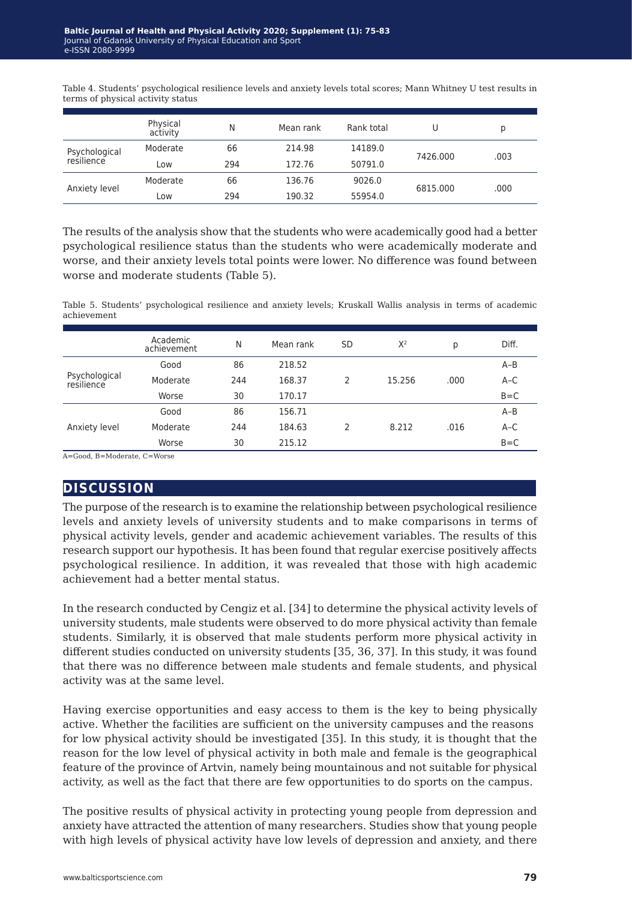Table 4. Students' psychological resilience levels and anxiety levels total scores; Mann Whitney U test results in terms of physical activity status

|                             | Physical<br>activity | N   | Mean rank | Rank total |          | р    |
|-----------------------------|----------------------|-----|-----------|------------|----------|------|
| Psychological<br>resilience | Moderate             | 66  | 214.98    | 14189.0    |          |      |
|                             | Low                  | 294 | 172.76    | 50791.0    | 7426.000 | .003 |
| Anxiety level               | Moderate             | 66  | 136.76    | 9026.0     | 6815.000 |      |
|                             | Low                  | 294 | 190.32    | 55954.0    |          | .000 |

The results of the analysis show that the students who were academically good had a better psychological resilience status than the students who were academically moderate and worse, and their anxiety levels total points were lower. No difference was found between worse and moderate students (Table 5).

Table 5. Students' psychological resilience and anxiety levels; Kruskall Wallis analysis in terms of academic achievement

|                             | Academic<br>achievement | N   | Mean rank | <b>SD</b> | $X^2$  | р    | Diff.   |
|-----------------------------|-------------------------|-----|-----------|-----------|--------|------|---------|
| Psychological<br>resilience | Good                    | 86  | 218.52    |           |        |      | $A-B$   |
|                             | Moderate                | 244 | 168.37    | 2         | 15.256 | .000 | $A-C$   |
|                             | Worse                   | 30  | 170.17    |           |        |      | $B = C$ |
| Anxiety level               | Good                    | 86  | 156.71    |           |        |      | $A-B$   |
|                             | Moderate                | 244 | 184.63    | 2         | 8.212  | .016 | $A-C$   |
|                             | Worse                   | 30  | 215.12    |           |        |      | $B = C$ |
|                             |                         |     |           |           |        |      |         |

A=Good, B=Moderate, C=Worse

# **discussion**

The purpose of the research is to examine the relationship between psychological resilience levels and anxiety levels of university students and to make comparisons in terms of physical activity levels, gender and academic achievement variables. The results of this research support our hypothesis. It has been found that regular exercise positively affects psychological resilience. In addition, it was revealed that those with high academic achievement had a better mental status.

In the research conducted by Cengiz et al. [34] to determine the physical activity levels of university students, male students were observed to do more physical activity than female students. Similarly, it is observed that male students perform more physical activity in different studies conducted on university students [35, 36, 37]. In this study, it was found that there was no difference between male students and female students, and physical activity was at the same level.

Having exercise opportunities and easy access to them is the key to being physically active. Whether the facilities are sufficient on the university campuses and the reasons for low physical activity should be investigated [35]. In this study, it is thought that the reason for the low level of physical activity in both male and female is the geographical feature of the province of Artvin, namely being mountainous and not suitable for physical activity, as well as the fact that there are few opportunities to do sports on the campus.

The positive results of physical activity in protecting young people from depression and anxiety have attracted the attention of many researchers. Studies show that young people with high levels of physical activity have low levels of depression and anxiety, and there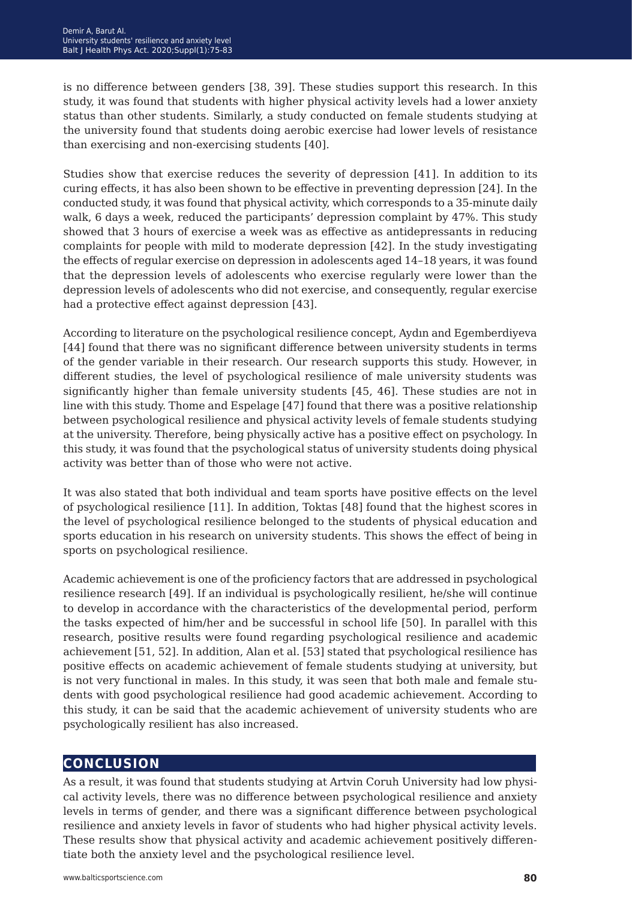is no difference between genders [38, 39]. These studies support this research. In this study, it was found that students with higher physical activity levels had a lower anxiety status than other students. Similarly, a study conducted on female students studying at the university found that students doing aerobic exercise had lower levels of resistance than exercising and non-exercising students [40].

Studies show that exercise reduces the severity of depression [41]. In addition to its curing effects, it has also been shown to be effective in preventing depression [24]. In the conducted study, it was found that physical activity, which corresponds to a 35-minute daily walk, 6 days a week, reduced the participants' depression complaint by 47%. This study showed that 3 hours of exercise a week was as effective as antidepressants in reducing complaints for people with mild to moderate depression [42]. In the study investigating the effects of regular exercise on depression in adolescents aged 14–18 years, it was found that the depression levels of adolescents who exercise regularly were lower than the depression levels of adolescents who did not exercise, and consequently, regular exercise had a protective effect against depression [43].

According to literature on the psychological resilience concept, Aydın and Egemberdiyeva [44] found that there was no significant difference between university students in terms of the gender variable in their research. Our research supports this study. However, in different studies, the level of psychological resilience of male university students was significantly higher than female university students [45, 46]. These studies are not in line with this study. Thome and Espelage [47] found that there was a positive relationship between psychological resilience and physical activity levels of female students studying at the university. Therefore, being physically active has a positive effect on psychology. In this study, it was found that the psychological status of university students doing physical activity was better than of those who were not active.

It was also stated that both individual and team sports have positive effects on the level of psychological resilience [11]. In addition, Toktas [48] found that the highest scores in the level of psychological resilience belonged to the students of physical education and sports education in his research on university students. This shows the effect of being in sports on psychological resilience.

Academic achievement is one of the proficiency factors that are addressed in psychological resilience research [49]. If an individual is psychologically resilient, he/she will continue to develop in accordance with the characteristics of the developmental period, perform the tasks expected of him/her and be successful in school life [50]. In parallel with this research, positive results were found regarding psychological resilience and academic achievement [51, 52]. In addition, Alan et al. [53] stated that psychological resilience has positive effects on academic achievement of female students studying at university, but is not very functional in males. In this study, it was seen that both male and female students with good psychological resilience had good academic achievement. According to this study, it can be said that the academic achievement of university students who are psychologically resilient has also increased.

# **conclusion**

As a result, it was found that students studying at Artvin Coruh University had low physical activity levels, there was no difference between psychological resilience and anxiety levels in terms of gender, and there was a significant difference between psychological resilience and anxiety levels in favor of students who had higher physical activity levels. These results show that physical activity and academic achievement positively differentiate both the anxiety level and the psychological resilience level.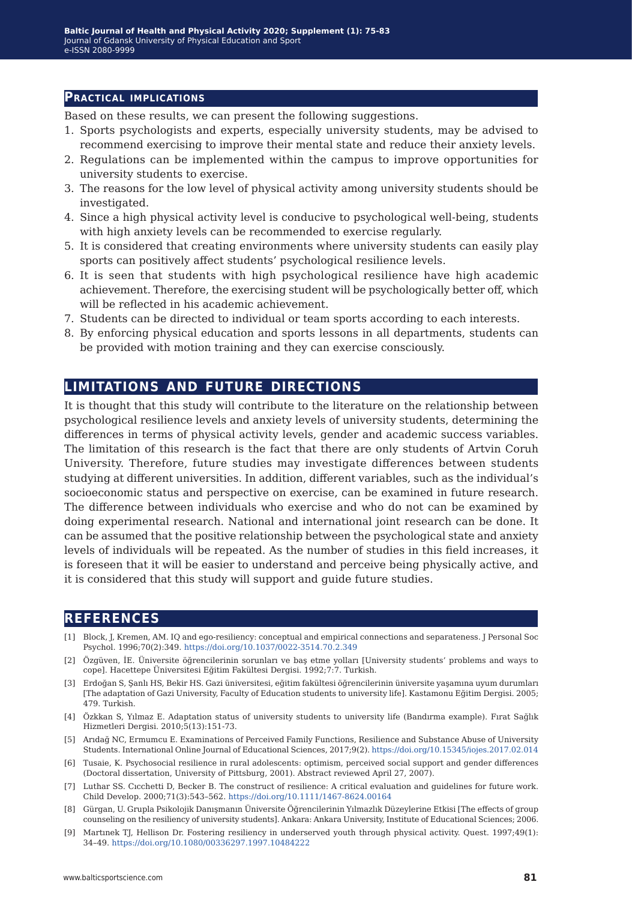#### **Practical implications**

Based on these results, we can present the following suggestions.

- 1. Sports psychologists and experts, especially university students, may be advised to recommend exercising to improve their mental state and reduce their anxiety levels.
- 2. Regulations can be implemented within the campus to improve opportunities for university students to exercise.
- 3. The reasons for the low level of physical activity among university students should be investigated.
- 4. Since a high physical activity level is conducive to psychological well-being, students with high anxiety levels can be recommended to exercise regularly.
- 5. It is considered that creating environments where university students can easily play sports can positively affect students' psychological resilience levels.
- 6. It is seen that students with high psychological resilience have high academic achievement. Therefore, the exercising student will be psychologically better off, which will be reflected in his academic achievement.
- 7. Students can be directed to individual or team sports according to each interests.
- 8. By enforcing physical education and sports lessons in all departments, students can be provided with motion training and they can exercise consciously.

#### **limitations and future directions**

It is thought that this study will contribute to the literature on the relationship between psychological resilience levels and anxiety levels of university students, determining the differences in terms of physical activity levels, gender and academic success variables. The limitation of this research is the fact that there are only students of Artvin Coruh University. Therefore, future studies may investigate differences between students studying at different universities. In addition, different variables, such as the individual's socioeconomic status and perspective on exercise, can be examined in future research. The difference between individuals who exercise and who do not can be examined by doing experimental research. National and international joint research can be done. It can be assumed that the positive relationship between the psychological state and anxiety levels of individuals will be repeated. As the number of studies in this field increases, it is foreseen that it will be easier to understand and perceive being physically active, and it is considered that this study will support and guide future studies.

#### **references**

- [1] Block, J, Kremen, AM. IQ and ego-resiliency: conceptual and empirical connections and separateness. J Personal Soc Psychol. 1996;70(2):349.<https://doi.org/10.1037/0022-3514.70.2.349>
- [2] Özgüven, İE. Üniversite öğrencilerinin sorunları ve baş etme yolları [University students' problems and ways to cope]. Hacettepe Üniversitesi Eğitim Fakültesi Dergisi. 1992;7:7. Turkish.
- [3] Erdoğan S, Şanlı HS, Bekir HS. Gazi üniversitesi, eğitim fakültesi öğrencilerinin üniversite yaşamına uyum durumları [The adaptation of Gazi University, Faculty of Education students to university life]. Kastamonu Eğitim Dergisi. 2005; 479. Turkish.
- [4] Özkkan S, Yılmaz E. Adaptation status of university students to university life (Bandırma example). Fırat Sağlık Hizmetleri Dergisi. 2010;5(13):151-73.
- [5] Arıdağ NC, Ermumcu E. Examinations of Perceived Family Functions, Resilience and Substance Abuse of University Students. International Online Journal of Educational Sciences, 2017;9(2). [https://doi.org/10.15345/iojes.2017.02.014]( https://doi.org/10.15345/iojes.2017.02.014 )
- [6] Tusaie, K. Psychosocial resilience in rural adolescents: optimism, perceived social support and gender differences (Doctoral dissertation, University of Pittsburg, 2001). Abstract reviewed April 27, 2007).
- [7] Luthar SS. Cıcchetti D, Becker B. The construct of resilience: A critical evaluation and guidelines for future work. Child Develop. 2000;71(3):543–562. <https://doi.org/10.1111/1467-8624.00164>
- [8] Gürgan, U. Grupla Psikolojik Danışmanın Üniversite Öğrencilerinin Yılmazlık Düzeylerine Etkisi [The effects of group counseling on the resiliency of university students]. Ankara: Ankara University, Institute of Educational Sciences; 2006.
- [9] Martınek TJ, Hellison Dr. Fostering resiliency in underserved youth through physical activity. Quest. 1997;49(1): 34–49.<https://doi.org/10.1080/00336297.1997.10484222>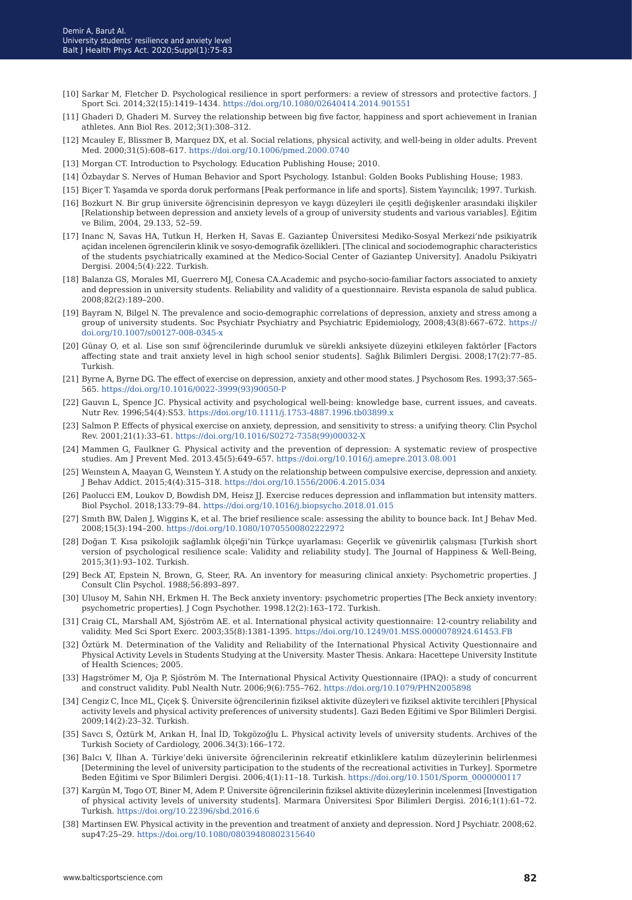- [10] Sarkar M, Fletcher D. Psychological resilience in sport performers: a review of stressors and protective factors. J Sport Sci. 2014;32(15):1419–1434. <https://doi.org/10.1080/02640414.2014.901551>
- [11] Ghaderi D, Ghaderi M. Survey the relationship between big five factor, happiness and sport achievement in Iranian athletes. Ann Biol Res. 2012;3(1):308–312.
- [12] Mcauley E, Blissmer B, Marquez DX, et al. Social relations, physical activity, and well-being in older adults. Prevent Med. 2000;31(5):608–617. <https://doi.org/10.1006/pmed.2000.0740>
- [13] Morgan CT. Introduction to Psychology. Education Publishing House; 2010.
- [14] Özbaydar S. Nerves of Human Behavior and Sport Psychology. Istanbul: Golden Books Publishing House; 1983.
- [15] Biçer T. Yaşamda ve sporda doruk performans [Peak performance in life and sports]. Sistem Yayıncılık; 1997. Turkish.
- [16] Bozkurt N. Bir grup üniversite öğrencisinin depresyon ve kaygı düzeyleri ile çeşitli değişkenler arasındaki ilişkiler [Relationship between depression and anxiety levels of a group of university students and various variables]. Eğitim ve Bilim, 2004, 29.133, 52–59.
- [17] Inanc N, Savas HA, Tutkun H, Herken H, Savas E. Gaziantep Üniversitesi Mediko-Sosyal Merkezi'nde psikiyatrik açidan incelenen ögrencilerin klinik ve sosyo-demografik özellikleri. [The clinical and sociodemographic characteristics of the students psychiatrically examined at the Medico-Social Center of Gaziantep University]. Anadolu Psikiyatri Dergisi. 2004;5(4):222. Turkish.
- [18] Balanza GS, Morales MI, Guerrero MJ, Conesa CA.Academic and psycho-socio-familiar factors associated to anxiety and depression in university students. Reliability and validity of a questionnaire. Revista espanola de salud publica. 2008;82(2):189–200.
- [19] Bayram N, Bilgel N. The prevalence and socio-demographic correlations of depression, anxiety and stress among a group of university students. Soc Psychiatr Psychiatry and Psychiatric Epidemiology, 2008;43(8):667–672. [https://](https://doi.org/10.1007/s00127-008-0345-x ) [doi.org/10.1007/s00127-008-0345-x](https://doi.org/10.1007/s00127-008-0345-x )
- [20] Günay O, et al. Lise son sınıf öğrencilerinde durumluk ve sürekli anksiyete düzeyini etkileyen faktörler [Factors affecting state and trait anxiety level in high school senior students]. Sağlık Bilimleri Dergisi. 2008;17(2):77–85. Turkish.
- [21] Byrne A, Byrne DG. The effect of exercise on depression, anxiety and other mood states. J Psychosom Res. 1993;37:565– 565. [https://doi.org/10.1016/0022-3999\(93\)90050-P](https://doi.org/10.1016/0022-3999(93)90050-P)
- [22] Gauvın L, Spence JC. Physical activity and psychological well-being: knowledge base, current issues, and caveats. Nutr Rev. 1996;54(4):S53. <https://doi.org/10.1111/j.1753-4887.1996.tb03899.x>
- [23] Salmon P. Effects of physical exercise on anxiety, depression, and sensitivity to stress: a unifying theory. Clin Psychol Rev. 2001;21(1):33–61. [https://doi.org/10.1016/S0272-7358\(99\)00032-X](https://doi.org/10.1016/S0272-7358(99)00032-X)
- [24] Mammen G, Faulkner G. Physical activity and the prevention of depression: A systematic review of prospective studies. Am J Prevent Med. 2013.45(5):649–657.<https://doi.org/10.1016/j.amepre.2013.08.001>
- [25] Weınsteın A, Maayan G, Weınsteın Y. A study on the relationship between compulsive exercise, depression and anxiety. J Behav Addict. 2015;4(4):315–318. <https://doi.org/10.1556/2006.4.2015.034>
- [26] Paolucci EM, Loukov D, Bowdish DM, Heisz JJ. Exercise reduces depression and inflammation but intensity matters. Biol Psychol. 2018;133:79–84.<https://doi.org/10.1016/j.biopsycho.2018.01.015>
- [27] Smıth BW, Dalen J, Wiggins K, et al. The brief resilience scale: assessing the ability to bounce back. Int J Behav Med. 2008;15(3):194–200.<https://doi.org/10.1080/10705500802222972>
- [28] Doğan T. Kısa psikolojik sağlamlık ölçeği'nin Türkçe uyarlaması: Geçerlik ve güvenirlik çalışması [Turkish short version of psychological resilience scale: Validity and reliability study]. The Journal of Happiness & Well-Being, 2015;3(1):93–102. Turkish.
- [29] Beck AT, Epstein N, Brown, G, Steer, RA. An inventory for measuring clinical anxiety: Psychometric properties. J Consult Clin Psychol. 1988;56:893–897.
- [30] Ulusoy M, Sahin NH, Erkmen H. The Beck anxiety inventory: psychometric properties [The Beck anxiety inventory: psychometric properties]. J Cogn Psychother. 1998.12(2):163–172. Turkish.
- [31] Craig CL, Marshall AM, Sjöström AE. et al. International physical activity questionnaire: 12-country reliability and validity. Med Sci Sport Exerc. 2003;35(8):1381-1395. <https://doi.org/10.1249/01.MSS.0000078924.61453.FB>
- [32] Öztürk M. Determination of the Validity and Reliability of the International Physical Activity Questionnaire and Physical Activity Levels in Students Studying at the University. Master Thesis. Ankara: Hacettepe University Institute of Health Sciences; 2005.
- [33] Hagströmer M, Oja P, Sjöström M. The International Physical Activity Questionnaire (IPAQ): a study of concurrent and construct validity. Publ Nealth Nutr. 2006;9(6):755–762. <https://doi.org/10.1079/PHN2005898>
- [34] Cengiz C, İnce ML, Çiçek Ş. Üniversite öğrencilerinin fiziksel aktivite düzeyleri ve fiziksel aktivite tercihleri [Physical activity levels and physical activity preferences of university students]. Gazi Beden Eğitimi ve Spor Bilimleri Dergisi. 2009;14(2):23–32. Turkish.
- [35] Savcı S, Öztürk M, Arıkan H, İnal İD, Tokgözoğlu L. Physical activity levels of university students. Archives of the Turkish Society of Cardiology, 2006.34(3):166–172.
- [36] Balcı V, İlhan A. Türkiye'deki üniversite öğrencilerinin rekreatif etkinliklere katılım düzeylerinin belirlenmesi [Determining the level of university participation to the students of the recreational activities in Turkey]. Spormetre Beden Eğitimi ve Spor Bilimleri Dergisi. 2006;4(1):11–18. Turkish. [https://doi.org/10.1501/Sporm\\_0000000117](https://doi.org/10.1501/Sporm_0000000117)
- [37] Kargün M, Togo OT, Biner M, Adem P. Üniversite öğrencilerinin fiziksel aktivite düzeylerinin incelenmesi [Investigation of physical activity levels of university students]. Marmara Üniversitesi Spor Bilimleri Dergisi. 2016;1(1):61–72. Turkish. <https://doi.org/10.22396/sbd.2016.6>
- [38] Martinsen EW. Physical activity in the prevention and treatment of anxiety and depression. Nord J Psychiatr. 2008;62. sup47:25–29. <https://doi.org/10.1080/08039480802315640>